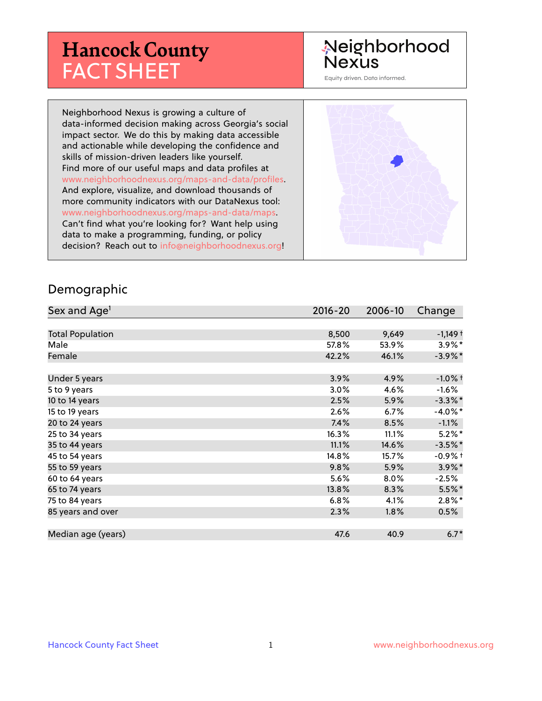# **Hancock County** FACT SHEET

#### Neighborhood **Nexus**

Equity driven. Data informed.

Neighborhood Nexus is growing a culture of data-informed decision making across Georgia's social impact sector. We do this by making data accessible and actionable while developing the confidence and skills of mission-driven leaders like yourself. Find more of our useful maps and data profiles at www.neighborhoodnexus.org/maps-and-data/profiles. And explore, visualize, and download thousands of more community indicators with our DataNexus tool: www.neighborhoodnexus.org/maps-and-data/maps. Can't find what you're looking for? Want help using data to make a programming, funding, or policy decision? Reach out to [info@neighborhoodnexus.org!](mailto:info@neighborhoodnexus.org)



#### Demographic

| Sex and Age <sup>1</sup> | $2016 - 20$ | 2006-10 | Change                |
|--------------------------|-------------|---------|-----------------------|
|                          |             |         |                       |
| <b>Total Population</b>  | 8,500       | 9,649   | $-1,149$ <sup>+</sup> |
| Male                     | 57.8%       | 53.9%   | $3.9\%$ *             |
| Female                   | 42.2%       | 46.1%   | $-3.9\%$ *            |
|                          |             |         |                       |
| Under 5 years            | 3.9%        | 4.9%    | $-1.0\%$ †            |
| 5 to 9 years             | 3.0%        | 4.6%    | $-1.6\%$              |
| 10 to 14 years           | 2.5%        | 5.9%    | $-3.3\%$ *            |
| 15 to 19 years           | 2.6%        | 6.7%    | $-4.0\%$ *            |
| 20 to 24 years           | 7.4%        | 8.5%    | $-1.1%$               |
| 25 to 34 years           | 16.3%       | 11.1%   | $5.2\%$ *             |
| 35 to 44 years           | 11.1%       | 14.6%   | $-3.5%$ *             |
| 45 to 54 years           | 14.8%       | 15.7%   | $-0.9%$ +             |
| 55 to 59 years           | 9.8%        | 5.9%    | $3.9\%$ *             |
| 60 to 64 years           | 5.6%        | 8.0%    | $-2.5%$               |
| 65 to 74 years           | 13.8%       | 8.3%    | $5.5\%$ *             |
| 75 to 84 years           | 6.8%        | 4.1%    | $2.8\%$ *             |
| 85 years and over        | 2.3%        | $1.8\%$ | 0.5%                  |
|                          |             |         |                       |
| Median age (years)       | 47.6        | 40.9    | $6.7*$                |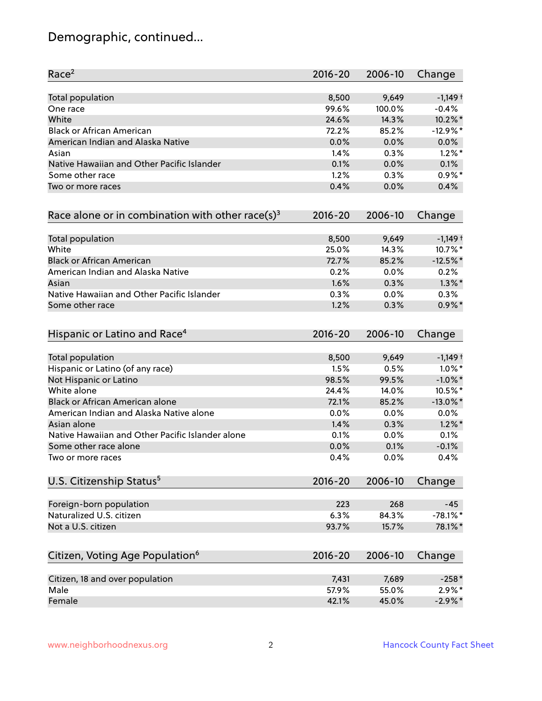# Demographic, continued...

| Race <sup>2</sup>                                   | $2016 - 20$ | 2006-10 | Change                |
|-----------------------------------------------------|-------------|---------|-----------------------|
| <b>Total population</b>                             | 8,500       | 9,649   | $-1,149$ <sup>+</sup> |
| One race                                            | 99.6%       | 100.0%  | $-0.4%$               |
| White                                               | 24.6%       | 14.3%   | 10.2%*                |
| <b>Black or African American</b>                    | 72.2%       | 85.2%   | $-12.9%$ *            |
| American Indian and Alaska Native                   | 0.0%        | 0.0%    | 0.0%                  |
| Asian                                               | 1.4%        | 0.3%    | $1.2\%$ *             |
| Native Hawaiian and Other Pacific Islander          | 0.1%        | 0.0%    | 0.1%                  |
| Some other race                                     | 1.2%        | 0.3%    | $0.9\%$ *             |
| Two or more races                                   | 0.4%        | 0.0%    | 0.4%                  |
| Race alone or in combination with other race(s) $3$ | $2016 - 20$ | 2006-10 | Change                |
| Total population                                    | 8,500       | 9,649   | $-1,149$ <sup>+</sup> |
| White                                               | 25.0%       | 14.3%   | 10.7%*                |
| <b>Black or African American</b>                    | 72.7%       | 85.2%   | $-12.5%$ *            |
| American Indian and Alaska Native                   | 0.2%        | 0.0%    | 0.2%                  |
| Asian                                               | 1.6%        | 0.3%    | $1.3\%$ *             |
| Native Hawaiian and Other Pacific Islander          | 0.3%        | 0.0%    | 0.3%                  |
| Some other race                                     | 1.2%        | 0.3%    | $0.9\%$ *             |
| Hispanic or Latino and Race <sup>4</sup>            | $2016 - 20$ | 2006-10 | Change                |
| <b>Total population</b>                             | 8,500       | 9,649   | $-1,149$ <sup>+</sup> |
| Hispanic or Latino (of any race)                    | 1.5%        | 0.5%    | $1.0\%$ *             |
| Not Hispanic or Latino                              | 98.5%       | 99.5%   | $-1.0\%$ *            |
| White alone                                         | 24.4%       | 14.0%   | 10.5%*                |
| Black or African American alone                     | 72.1%       | 85.2%   | $-13.0\%$ *           |
| American Indian and Alaska Native alone             | 0.0%        | 0.0%    | 0.0%                  |
| Asian alone                                         | 1.4%        | 0.3%    | $1.2\%$ *             |
| Native Hawaiian and Other Pacific Islander alone    | 0.1%        | 0.0%    | 0.1%                  |
| Some other race alone                               | 0.0%        | 0.1%    | $-0.1%$               |
| Two or more races                                   | 0.4%        | 0.0%    | 0.4%                  |
| U.S. Citizenship Status <sup>5</sup>                | $2016 - 20$ | 2006-10 | Change                |
| Foreign-born population                             | 223         | 268     | $-45$                 |
| Naturalized U.S. citizen                            | 6.3%        | 84.3%   | $-78.1\%$ *           |
| Not a U.S. citizen                                  | 93.7%       | 15.7%   | 78.1%*                |
| Citizen, Voting Age Population <sup>6</sup>         | $2016 - 20$ | 2006-10 | Change                |
|                                                     |             |         |                       |
| Citizen, 18 and over population                     | 7,431       | 7,689   | $-258*$               |
| Male                                                | 57.9%       | 55.0%   | $2.9\%*$              |
| Female                                              | 42.1%       | 45.0%   | $-2.9\%$ *            |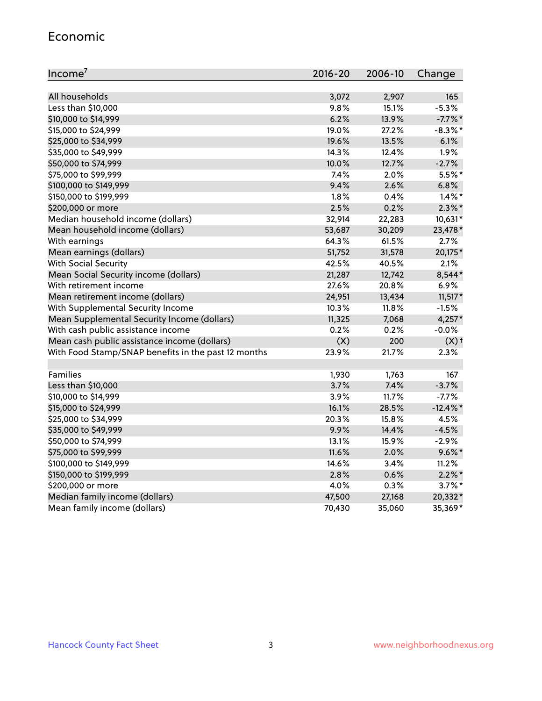#### Economic

| Income <sup>7</sup>                                 | $2016 - 20$ | 2006-10 | Change             |
|-----------------------------------------------------|-------------|---------|--------------------|
|                                                     |             |         |                    |
| All households                                      | 3,072       | 2,907   | 165                |
| Less than \$10,000                                  | 9.8%        | 15.1%   | $-5.3%$            |
| \$10,000 to \$14,999                                | 6.2%        | 13.9%   | $-7.7%$ *          |
| \$15,000 to \$24,999                                | 19.0%       | 27.2%   | $-8.3\%$ *         |
| \$25,000 to \$34,999                                | 19.6%       | 13.5%   | 6.1%               |
| \$35,000 to \$49,999                                | 14.3%       | 12.4%   | 1.9%               |
| \$50,000 to \$74,999                                | 10.0%       | 12.7%   | $-2.7%$            |
| \$75,000 to \$99,999                                | 7.4%        | 2.0%    | 5.5%*              |
| \$100,000 to \$149,999                              | 9.4%        | 2.6%    | 6.8%               |
| \$150,000 to \$199,999                              | 1.8%        | 0.4%    | $1.4\%$ *          |
| \$200,000 or more                                   | 2.5%        | 0.2%    | $2.3\%$ *          |
| Median household income (dollars)                   | 32,914      | 22,283  | 10,631*            |
| Mean household income (dollars)                     | 53,687      | 30,209  | 23,478*            |
| With earnings                                       | 64.3%       | 61.5%   | 2.7%               |
| Mean earnings (dollars)                             | 51,752      | 31,578  | 20,175*            |
| <b>With Social Security</b>                         | 42.5%       | 40.5%   | 2.1%               |
| Mean Social Security income (dollars)               | 21,287      | 12,742  | 8,544*             |
| With retirement income                              | 27.6%       | 20.8%   | 6.9%               |
| Mean retirement income (dollars)                    | 24,951      | 13,434  | $11,517*$          |
| With Supplemental Security Income                   | 10.3%       | 11.8%   | $-1.5%$            |
| Mean Supplemental Security Income (dollars)         | 11,325      | 7,068   | $4,257*$           |
| With cash public assistance income                  | 0.2%        | 0.2%    | $-0.0%$            |
| Mean cash public assistance income (dollars)        | (X)         | 200     | $(X)$ <sup>+</sup> |
| With Food Stamp/SNAP benefits in the past 12 months | 23.9%       | 21.7%   | 2.3%               |
|                                                     |             |         |                    |
| Families                                            | 1,930       | 1,763   | 167                |
| Less than \$10,000                                  | 3.7%        | 7.4%    | $-3.7%$            |
| \$10,000 to \$14,999                                | 3.9%        | 11.7%   | $-7.7%$            |
| \$15,000 to \$24,999                                | 16.1%       | 28.5%   | $-12.4\%$ *        |
| \$25,000 to \$34,999                                | 20.3%       | 15.8%   | 4.5%               |
| \$35,000 to \$49,999                                | 9.9%        | 14.4%   | $-4.5%$            |
| \$50,000 to \$74,999                                | 13.1%       | 15.9%   | $-2.9%$            |
| \$75,000 to \$99,999                                | 11.6%       | 2.0%    | $9.6\%$ *          |
| \$100,000 to \$149,999                              | 14.6%       | 3.4%    | 11.2%              |
| \$150,000 to \$199,999                              | 2.8%        | 0.6%    | $2.2\%$ *          |
| \$200,000 or more                                   | 4.0%        | 0.3%    | $3.7\%$ *          |
| Median family income (dollars)                      | 47,500      | 27,168  | 20,332*            |
| Mean family income (dollars)                        | 70,430      | 35,060  | 35,369*            |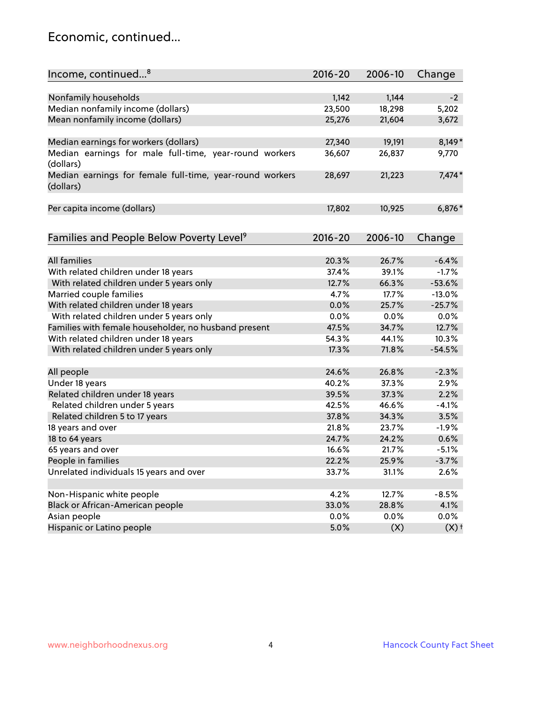#### Economic, continued...

| Income, continued <sup>8</sup>                                        | $2016 - 20$ | 2006-10 | Change             |
|-----------------------------------------------------------------------|-------------|---------|--------------------|
|                                                                       |             |         |                    |
| Nonfamily households                                                  | 1,142       | 1,144   | $-2$               |
| Median nonfamily income (dollars)                                     | 23,500      | 18,298  | 5,202              |
| Mean nonfamily income (dollars)                                       | 25,276      | 21,604  | 3,672              |
| Median earnings for workers (dollars)                                 | 27,340      | 19,191  | 8,149*             |
| Median earnings for male full-time, year-round workers                | 36,607      | 26,837  | 9,770              |
| (dollars)                                                             |             |         |                    |
| Median earnings for female full-time, year-round workers<br>(dollars) | 28,697      | 21,223  | $7,474*$           |
| Per capita income (dollars)                                           | 17,802      | 10,925  | 6,876*             |
|                                                                       |             |         |                    |
| Families and People Below Poverty Level <sup>9</sup>                  | 2016-20     | 2006-10 | Change             |
|                                                                       |             |         |                    |
| <b>All families</b>                                                   | 20.3%       | 26.7%   | $-6.4%$            |
| With related children under 18 years                                  | 37.4%       | 39.1%   | $-1.7%$            |
| With related children under 5 years only                              | 12.7%       | 66.3%   | $-53.6%$           |
| Married couple families                                               | 4.7%        | 17.7%   | $-13.0%$           |
| With related children under 18 years                                  | 0.0%        | 25.7%   | $-25.7%$           |
| With related children under 5 years only                              | 0.0%        | 0.0%    | 0.0%               |
| Families with female householder, no husband present                  | 47.5%       | 34.7%   | 12.7%              |
| With related children under 18 years                                  | 54.3%       | 44.1%   | 10.3%              |
| With related children under 5 years only                              | 17.3%       | 71.8%   | $-54.5%$           |
| All people                                                            | 24.6%       | 26.8%   | $-2.3%$            |
| Under 18 years                                                        | 40.2%       | 37.3%   | 2.9%               |
| Related children under 18 years                                       | 39.5%       | 37.3%   | 2.2%               |
| Related children under 5 years                                        | 42.5%       | 46.6%   | $-4.1%$            |
| Related children 5 to 17 years                                        | 37.8%       | 34.3%   | 3.5%               |
| 18 years and over                                                     | 21.8%       | 23.7%   | $-1.9%$            |
| 18 to 64 years                                                        | 24.7%       | 24.2%   | 0.6%               |
| 65 years and over                                                     | 16.6%       | 21.7%   | $-5.1%$            |
| People in families                                                    | 22.2%       | 25.9%   | $-3.7%$            |
| Unrelated individuals 15 years and over                               | 33.7%       | 31.1%   | 2.6%               |
|                                                                       |             |         |                    |
| Non-Hispanic white people                                             | 4.2%        | 12.7%   | $-8.5%$            |
| Black or African-American people                                      | 33.0%       | 28.8%   | 4.1%               |
| Asian people                                                          | $0.0\%$     | 0.0%    | $0.0\%$            |
| Hispanic or Latino people                                             | 5.0%        | (X)     | $(X)$ <sup>+</sup> |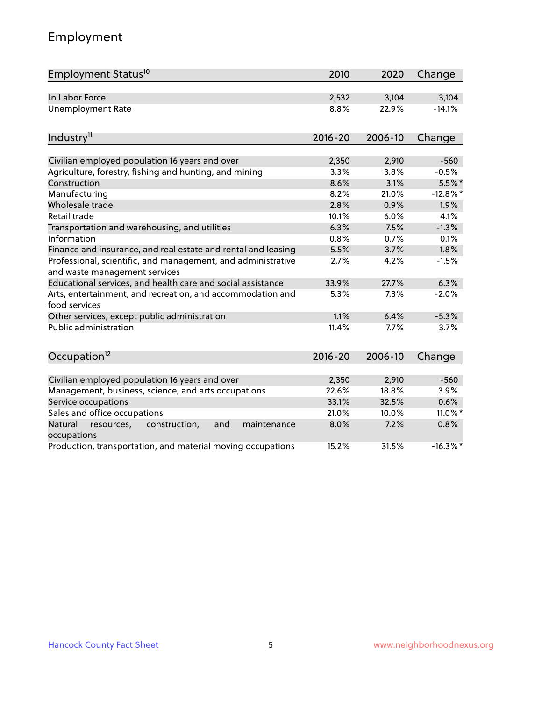# Employment

| Employment Status <sup>10</sup>                                                                          | 2010          | 2020          | Change            |
|----------------------------------------------------------------------------------------------------------|---------------|---------------|-------------------|
| In Labor Force                                                                                           | 2,532         | 3,104         | 3,104             |
| <b>Unemployment Rate</b>                                                                                 | 8.8%          | 22.9%         | $-14.1%$          |
| Industry <sup>11</sup>                                                                                   | $2016 - 20$   | 2006-10       | Change            |
|                                                                                                          |               |               |                   |
| Civilian employed population 16 years and over<br>Agriculture, forestry, fishing and hunting, and mining | 2,350<br>3.3% | 2,910<br>3.8% | $-560$<br>$-0.5%$ |
| Construction                                                                                             | 8.6%          | 3.1%          | $5.5\%$ *         |
| Manufacturing                                                                                            | 8.2%          | 21.0%         | $-12.8%$          |
| Wholesale trade                                                                                          | 2.8%          | 0.9%          | 1.9%              |
| Retail trade                                                                                             | 10.1%         | 6.0%          | 4.1%              |
| Transportation and warehousing, and utilities                                                            | 6.3%          | 7.5%          | $-1.3%$           |
| Information                                                                                              | 0.8%          | 0.7%          | 0.1%              |
| Finance and insurance, and real estate and rental and leasing                                            | 5.5%          | 3.7%          | 1.8%              |
| Professional, scientific, and management, and administrative<br>and waste management services            | 2.7%          | 4.2%          | $-1.5%$           |
| Educational services, and health care and social assistance                                              | 33.9%         | 27.7%         | 6.3%              |
| Arts, entertainment, and recreation, and accommodation and<br>food services                              | 5.3%          | 7.3%          | $-2.0%$           |
| Other services, except public administration                                                             | 1.1%          | 6.4%          | $-5.3%$           |
| <b>Public administration</b>                                                                             | 11.4%         | 7.7%          | 3.7%              |
| Occupation <sup>12</sup>                                                                                 | $2016 - 20$   | 2006-10       | Change            |
|                                                                                                          |               |               |                   |
| Civilian employed population 16 years and over                                                           | 2,350         | 2,910         | $-560$            |
| Management, business, science, and arts occupations                                                      | 22.6%         | 18.8%         | 3.9%              |
| Service occupations                                                                                      | 33.1%         | 32.5%         | 0.6%              |
| Sales and office occupations                                                                             | 21.0%         | 10.0%         | 11.0%*            |
| Natural<br>and<br>resources,<br>construction,<br>maintenance<br>occupations                              | 8.0%          | 7.2%          | 0.8%              |
| Production, transportation, and material moving occupations                                              | 15.2%         | 31.5%         | $-16.3\%$ *       |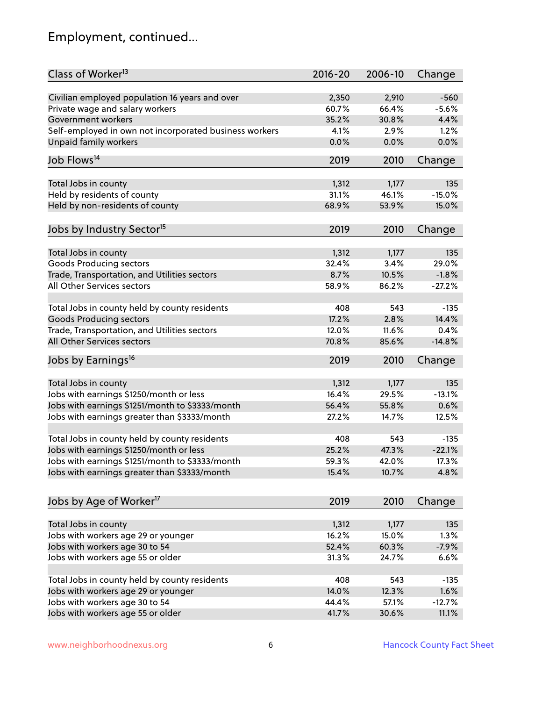# Employment, continued...

| Class of Worker <sup>13</sup>                          | $2016 - 20$ | 2006-10 | Change   |
|--------------------------------------------------------|-------------|---------|----------|
| Civilian employed population 16 years and over         | 2,350       | 2,910   | $-560$   |
| Private wage and salary workers                        | 60.7%       | 66.4%   | $-5.6%$  |
| Government workers                                     | 35.2%       | 30.8%   | 4.4%     |
| Self-employed in own not incorporated business workers | 4.1%        | 2.9%    | 1.2%     |
| Unpaid family workers                                  | 0.0%        | 0.0%    | 0.0%     |
|                                                        |             |         |          |
| Job Flows <sup>14</sup>                                | 2019        | 2010    | Change   |
| Total Jobs in county                                   | 1,312       | 1,177   | 135      |
| Held by residents of county                            | 31.1%       | 46.1%   | $-15.0%$ |
| Held by non-residents of county                        | 68.9%       | 53.9%   | 15.0%    |
|                                                        |             |         |          |
| Jobs by Industry Sector <sup>15</sup>                  | 2019        | 2010    | Change   |
|                                                        |             |         |          |
| Total Jobs in county                                   | 1,312       | 1,177   | 135      |
| <b>Goods Producing sectors</b>                         | 32.4%       | 3.4%    | 29.0%    |
| Trade, Transportation, and Utilities sectors           | 8.7%        | 10.5%   | $-1.8%$  |
| All Other Services sectors                             | 58.9%       | 86.2%   | $-27.2%$ |
| Total Jobs in county held by county residents          | 408         | 543     | $-135$   |
| <b>Goods Producing sectors</b>                         | 17.2%       | 2.8%    | 14.4%    |
| Trade, Transportation, and Utilities sectors           | 12.0%       | 11.6%   | 0.4%     |
| All Other Services sectors                             | 70.8%       | 85.6%   | $-14.8%$ |
|                                                        |             |         |          |
| Jobs by Earnings <sup>16</sup>                         | 2019        | 2010    | Change   |
|                                                        |             |         |          |
| Total Jobs in county                                   | 1,312       | 1,177   | 135      |
| Jobs with earnings \$1250/month or less                | 16.4%       | 29.5%   | $-13.1%$ |
| Jobs with earnings \$1251/month to \$3333/month        | 56.4%       | 55.8%   | 0.6%     |
| Jobs with earnings greater than \$3333/month           | 27.2%       | 14.7%   | 12.5%    |
| Total Jobs in county held by county residents          | 408         | 543     | $-135$   |
| Jobs with earnings \$1250/month or less                | 25.2%       | 47.3%   | $-22.1%$ |
| Jobs with earnings \$1251/month to \$3333/month        | 59.3%       | 42.0%   | $17.3\%$ |
| Jobs with earnings greater than \$3333/month           | 15.4%       | 10.7%   | 4.8%     |
|                                                        |             |         |          |
| Jobs by Age of Worker <sup>17</sup>                    | 2019        | 2010    | Change   |
|                                                        |             |         |          |
| Total Jobs in county                                   | 1,312       | 1,177   | 135      |
| Jobs with workers age 29 or younger                    | 16.2%       | 15.0%   | 1.3%     |
| Jobs with workers age 30 to 54                         | 52.4%       | 60.3%   | $-7.9%$  |
| Jobs with workers age 55 or older                      | 31.3%       | 24.7%   | 6.6%     |
| Total Jobs in county held by county residents          | 408         | 543     | $-135$   |
| Jobs with workers age 29 or younger                    | 14.0%       | 12.3%   | 1.6%     |
| Jobs with workers age 30 to 54                         | 44.4%       | 57.1%   | $-12.7%$ |
| Jobs with workers age 55 or older                      | 41.7%       | 30.6%   | 11.1%    |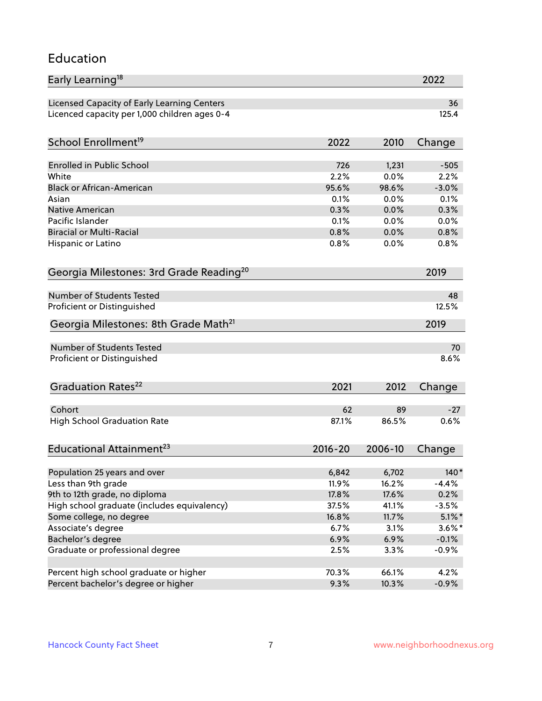#### Education

| Early Learning <sup>18</sup>                        |              |              | 2022         |
|-----------------------------------------------------|--------------|--------------|--------------|
| Licensed Capacity of Early Learning Centers         |              |              | 36           |
| Licenced capacity per 1,000 children ages 0-4       |              |              | 125.4        |
| School Enrollment <sup>19</sup>                     | 2022         | 2010         | Change       |
|                                                     |              |              |              |
| <b>Enrolled in Public School</b>                    | 726          | 1,231        | $-505$       |
| White                                               | 2.2%         | 0.0%         | 2.2%         |
| <b>Black or African-American</b>                    | 95.6%        | 98.6%        | $-3.0%$      |
| Asian<br><b>Native American</b>                     | 0.1%         | 0.0%         | 0.1%         |
| Pacific Islander                                    | 0.3%<br>0.1% | 0.0%         | 0.3%         |
| <b>Biracial or Multi-Racial</b>                     | 0.8%         | 0.0%<br>0.0% | 0.0%<br>0.8% |
|                                                     |              |              |              |
| Hispanic or Latino                                  | 0.8%         | 0.0%         | 0.8%         |
| Georgia Milestones: 3rd Grade Reading <sup>20</sup> |              |              | 2019         |
| <b>Number of Students Tested</b>                    |              |              |              |
|                                                     |              |              | 48           |
| Proficient or Distinguished                         |              |              | 12.5%        |
| Georgia Milestones: 8th Grade Math <sup>21</sup>    |              |              | 2019         |
| <b>Number of Students Tested</b>                    |              |              | 70           |
| Proficient or Distinguished                         |              |              | 8.6%         |
|                                                     |              |              |              |
| Graduation Rates <sup>22</sup>                      | 2021         | 2012         | Change       |
| Cohort                                              | 62           | 89           | $-27$        |
| <b>High School Graduation Rate</b>                  | 87.1%        | 86.5%        | 0.6%         |
|                                                     |              |              |              |
| Educational Attainment <sup>23</sup>                | $2016 - 20$  | 2006-10      | Change       |
| Population 25 years and over                        | 6,842        | 6,702        | 140*         |
| Less than 9th grade                                 | 11.9%        | 16.2%        | $-4.4%$      |
| 9th to 12th grade, no diploma                       | 17.8%        | 17.6%        | 0.2%         |
| High school graduate (includes equivalency)         | 37.5%        | 41.1%        | $-3.5%$      |
| Some college, no degree                             | 16.8%        | 11.7%        | $5.1\%$ *    |
| Associate's degree                                  | 6.7%         | 3.1%         | $3.6\%$ *    |
| Bachelor's degree                                   | 6.9%         | 6.9%         | $-0.1%$      |
| Graduate or professional degree                     | 2.5%         | 3.3%         | $-0.9%$      |
|                                                     |              |              |              |
| Percent high school graduate or higher              | 70.3%        | 66.1%        | 4.2%         |
| Percent bachelor's degree or higher                 | 9.3%         | 10.3%        | $-0.9%$      |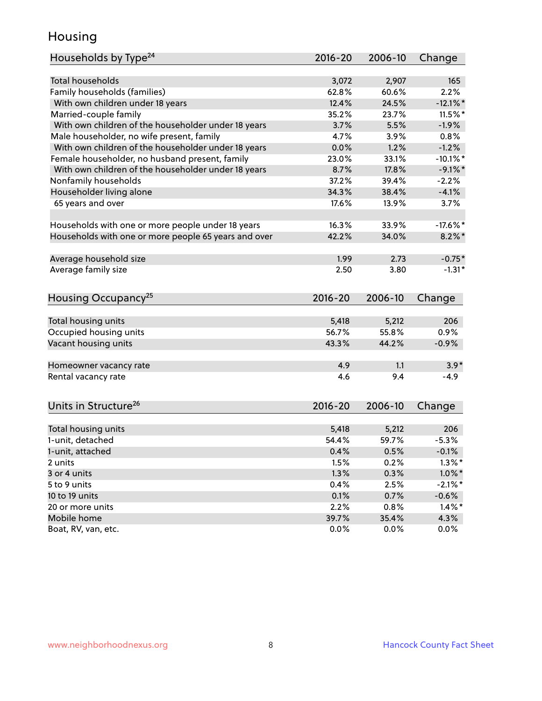#### Housing

| Households by Type <sup>24</sup>                     | 2016-20     | 2006-10       | Change      |
|------------------------------------------------------|-------------|---------------|-------------|
|                                                      |             |               |             |
| <b>Total households</b>                              | 3,072       | 2,907         | 165         |
| Family households (families)                         | 62.8%       | 60.6%         | 2.2%        |
| With own children under 18 years                     | 12.4%       | 24.5%         | $-12.1\%$ * |
| Married-couple family                                | 35.2%       | 23.7%         | $11.5\%$ *  |
| With own children of the householder under 18 years  | 3.7%        | 5.5%          | $-1.9%$     |
| Male householder, no wife present, family            | 4.7%        | 3.9%          | 0.8%        |
| With own children of the householder under 18 years  | 0.0%        | 1.2%          | $-1.2%$     |
| Female householder, no husband present, family       | 23.0%       | 33.1%         | $-10.1\%$ * |
| With own children of the householder under 18 years  | 8.7%        | 17.8%         | $-9.1\%$ *  |
| Nonfamily households                                 | 37.2%       | 39.4%         | $-2.2%$     |
| Householder living alone                             | 34.3%       | 38.4%         | $-4.1%$     |
| 65 years and over                                    | 17.6%       | 13.9%         | 3.7%        |
|                                                      |             |               |             |
| Households with one or more people under 18 years    | 16.3%       | 33.9%         | $-17.6%$    |
| Households with one or more people 65 years and over | 42.2%       | 34.0%         | $8.2\%$ *   |
| Average household size                               | 1.99        | 2.73          | $-0.75*$    |
| Average family size                                  | 2.50        | 3.80          | $-1.31*$    |
|                                                      |             |               |             |
| Housing Occupancy <sup>25</sup>                      | $2016 - 20$ | 2006-10       | Change      |
|                                                      |             |               |             |
| Total housing units                                  | 5,418       | 5,212         | 206         |
| Occupied housing units                               | 56.7%       | 55.8%         | 0.9%        |
| Vacant housing units                                 | 43.3%       | 44.2%         | $-0.9%$     |
| Homeowner vacancy rate                               | 4.9         | 1.1           | $3.9*$      |
| Rental vacancy rate                                  | 4.6         | 9.4           | $-4.9$      |
|                                                      |             |               |             |
| Units in Structure <sup>26</sup>                     | $2016 - 20$ | 2006-10       | Change      |
| Total housing units                                  | 5,418       | 5,212         | 206         |
| 1-unit, detached                                     | 54.4%       | 59.7%         | $-5.3%$     |
| 1-unit, attached                                     | 0.4%        | 0.5%          | $-0.1%$     |
| 2 units                                              | 1.5%        | 0.2%          | $1.3\%$ *   |
| 3 or 4 units                                         | 1.3%        | 0.3%          | $1.0\%$ *   |
| 5 to 9 units                                         | 0.4%        | 2.5%          | $-2.1\%$ *  |
| 10 to 19 units                                       | 0.1%        | 0.7%          | $-0.6%$     |
|                                                      |             |               |             |
| 20 or more units<br>Mobile home                      | 2.2%        | 0.8%<br>35.4% | $1.4\%$ *   |
| Boat, RV, van, etc.                                  | 39.7%       |               | 4.3%        |
|                                                      | 0.0%        | 0.0%          | 0.0%        |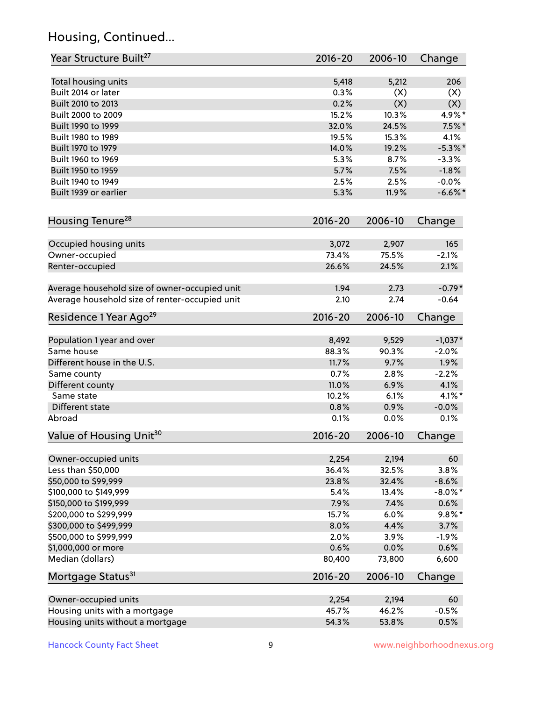# Housing, Continued...

| Year Structure Built <sup>27</sup>             | 2016-20        | 2006-10        | Change                |
|------------------------------------------------|----------------|----------------|-----------------------|
|                                                |                |                |                       |
| Total housing units<br>Built 2014 or later     | 5,418<br>0.3%  | 5,212<br>(X)   | 206<br>(X)            |
| Built 2010 to 2013                             | 0.2%           | (X)            | (X)                   |
| Built 2000 to 2009                             | 15.2%          | 10.3%          | 4.9%*                 |
| Built 1990 to 1999                             | 32.0%          | 24.5%          | $7.5\%$ *             |
| Built 1980 to 1989                             | 19.5%          | 15.3%          | 4.1%                  |
| Built 1970 to 1979                             | 14.0%          | 19.2%          |                       |
| Built 1960 to 1969                             | 5.3%           | 8.7%           | $-5.3\%$ *<br>$-3.3%$ |
|                                                | 5.7%           |                | $-1.8%$               |
| Built 1950 to 1959<br>Built 1940 to 1949       | 2.5%           | 7.5%<br>2.5%   | $-0.0%$               |
|                                                | 5.3%           |                | $-6.6\%$ *            |
| Built 1939 or earlier                          |                | 11.9%          |                       |
| Housing Tenure <sup>28</sup>                   | $2016 - 20$    | 2006-10        | Change                |
| Occupied housing units                         | 3,072          | 2,907          | 165                   |
| Owner-occupied                                 | 73.4%          | 75.5%          | $-2.1%$               |
| Renter-occupied                                | 26.6%          | 24.5%          | 2.1%                  |
|                                                |                |                |                       |
| Average household size of owner-occupied unit  | 1.94           | 2.73           | $-0.79*$              |
| Average household size of renter-occupied unit | 2.10           | 2.74           | $-0.64$               |
| Residence 1 Year Ago <sup>29</sup>             | 2016-20        | 2006-10        | Change                |
|                                                |                |                |                       |
| Population 1 year and over                     | 8,492          | 9,529          | $-1,037*$             |
| Same house                                     | 88.3%          | 90.3%          | $-2.0%$               |
| Different house in the U.S.                    | 11.7%          | 9.7%           | 1.9%                  |
| Same county                                    | 0.7%           | 2.8%           | $-2.2%$               |
| Different county                               | 11.0%          | 6.9%           | 4.1%                  |
| Same state                                     | 10.2%          | 6.1%           | $4.1\%$ *             |
| Different state                                | 0.8%           | 0.9%           | $-0.0%$               |
| Abroad                                         | 0.1%           | 0.0%           | 0.1%                  |
| Value of Housing Unit <sup>30</sup>            | 2016-20        | 2006-10        | Change                |
| Owner-occupied units                           | 2,254          | 2,194          | 60                    |
| Less than \$50,000                             | 36.4%          | 32.5%          | 3.8%                  |
| \$50,000 to \$99,999                           | 23.8%          | 32.4%          | $-8.6%$               |
| \$100,000 to \$149,999                         | 5.4%           | 13.4%          | $-8.0\%$ *            |
| \$150,000 to \$199,999                         | 7.9%           | 7.4%           | 0.6%                  |
| \$200,000 to \$299,999                         | 15.7%          | 6.0%           | $9.8\%$ *             |
| \$300,000 to \$499,999                         | 8.0%           | 4.4%           | 3.7%                  |
| \$500,000 to \$999,999                         | 2.0%           | 3.9%           | $-1.9%$               |
|                                                |                |                |                       |
| \$1,000,000 or more<br>Median (dollars)        | 0.6%<br>80,400 | 0.0%<br>73,800 | 0.6%<br>6,600         |
|                                                |                |                |                       |
| Mortgage Status <sup>31</sup>                  | $2016 - 20$    | 2006-10        | Change                |
| Owner-occupied units                           | 2,254          | 2,194          | 60                    |
| Housing units with a mortgage                  | 45.7%          | 46.2%          | $-0.5%$               |
| Housing units without a mortgage               | 54.3%          | 53.8%          | 0.5%                  |
|                                                |                |                |                       |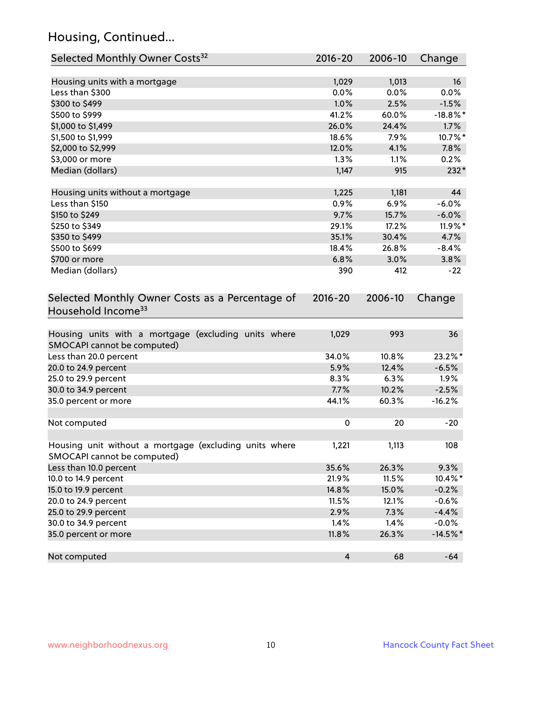# Housing, Continued...

| Selected Monthly Owner Costs <sup>32</sup>                                            | 2016-20                 | 2006-10 | Change      |
|---------------------------------------------------------------------------------------|-------------------------|---------|-------------|
| Housing units with a mortgage                                                         | 1,029                   | 1,013   | 16          |
| Less than \$300                                                                       | 0.0%                    | 0.0%    | 0.0%        |
| \$300 to \$499                                                                        | 1.0%                    | 2.5%    | $-1.5%$     |
| \$500 to \$999                                                                        | 41.2%                   | 60.0%   | $-18.8\%$ * |
| \$1,000 to \$1,499                                                                    | 26.0%                   | 24.4%   | 1.7%        |
| \$1,500 to \$1,999                                                                    | 18.6%                   | 7.9%    | 10.7%*      |
| \$2,000 to \$2,999                                                                    | 12.0%                   | 4.1%    | 7.8%        |
| \$3,000 or more                                                                       | 1.3%                    | 1.1%    | 0.2%        |
| Median (dollars)                                                                      | 1,147                   | 915     | $232*$      |
|                                                                                       |                         |         |             |
| Housing units without a mortgage                                                      | 1,225                   | 1,181   | 44          |
| Less than \$150                                                                       | 0.9%                    | 6.9%    | $-6.0%$     |
| \$150 to \$249                                                                        | 9.7%                    | 15.7%   | $-6.0%$     |
| \$250 to \$349                                                                        | 29.1%                   | 17.2%   | 11.9%*      |
| \$350 to \$499                                                                        | 35.1%                   | 30.4%   | 4.7%        |
| \$500 to \$699                                                                        | 18.4%                   | 26.8%   | $-8.4%$     |
| \$700 or more                                                                         | 6.8%                    | 3.0%    | 3.8%        |
| Median (dollars)                                                                      | 390                     | 412     | $-22$       |
| Selected Monthly Owner Costs as a Percentage of<br>Household Income <sup>33</sup>     | $2016 - 20$             | 2006-10 | Change      |
| Housing units with a mortgage (excluding units where<br>SMOCAPI cannot be computed)   | 1,029                   | 993     | 36          |
| Less than 20.0 percent                                                                | 34.0%                   | 10.8%   | 23.2%*      |
| 20.0 to 24.9 percent                                                                  | 5.9%                    | 12.4%   | $-6.5%$     |
| 25.0 to 29.9 percent                                                                  | 8.3%                    | 6.3%    | 1.9%        |
| 30.0 to 34.9 percent                                                                  | 7.7%                    | 10.2%   | $-2.5%$     |
| 35.0 percent or more                                                                  | 44.1%                   | 60.3%   | $-16.2%$    |
| Not computed                                                                          | $\pmb{0}$               | 20      | $-20$       |
| Housing unit without a mortgage (excluding units where<br>SMOCAPI cannot be computed) | 1,221                   | 1,113   | 108         |
| Less than 10.0 percent                                                                | 35.6%                   | 26.3%   | 9.3%        |
| 10.0 to 14.9 percent                                                                  | 21.9%                   | 11.5%   | 10.4%*      |
| 15.0 to 19.9 percent                                                                  | 14.8%                   | 15.0%   | $-0.2%$     |
| 20.0 to 24.9 percent                                                                  | 11.5%                   | 12.1%   | $-0.6%$     |
| 25.0 to 29.9 percent                                                                  | 2.9%                    | 7.3%    | $-4.4%$     |
| 30.0 to 34.9 percent                                                                  | 1.4%                    | 1.4%    | $-0.0%$     |
| 35.0 percent or more                                                                  | 11.8%                   | 26.3%   | $-14.5%$ *  |
| Not computed                                                                          | $\overline{\mathbf{4}}$ | 68      | $-64$       |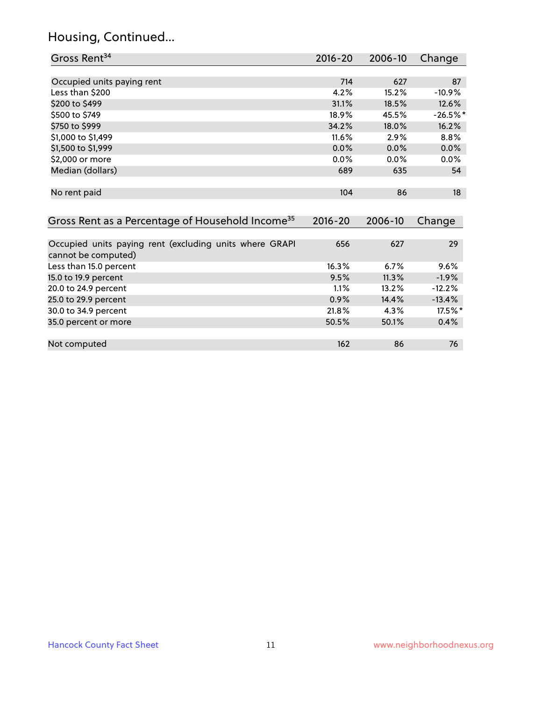# Housing, Continued...

| Gross Rent <sup>34</sup>                                     | 2016-20     | 2006-10 | Change     |
|--------------------------------------------------------------|-------------|---------|------------|
|                                                              |             |         |            |
| Occupied units paying rent                                   | 714         | 627     | 87         |
| Less than \$200                                              | 4.2%        | 15.2%   | $-10.9%$   |
| \$200 to \$499                                               | 31.1%       | 18.5%   | 12.6%      |
| \$500 to \$749                                               | 18.9%       | 45.5%   | $-26.5%$ * |
| \$750 to \$999                                               | 34.2%       | 18.0%   | 16.2%      |
| \$1,000 to \$1,499                                           | 11.6%       | 2.9%    | 8.8%       |
| \$1,500 to \$1,999                                           | 0.0%        | 0.0%    | 0.0%       |
| \$2,000 or more                                              | 0.0%        | 0.0%    | 0.0%       |
| Median (dollars)                                             | 689         | 635     | 54         |
|                                                              |             |         |            |
| No rent paid                                                 | 104         | 86      | 18         |
|                                                              |             |         |            |
| Gross Rent as a Percentage of Household Income <sup>35</sup> | $2016 - 20$ | 2006-10 | Change     |
|                                                              |             |         |            |
| Occupied units paying rent (excluding units where GRAPI      | 656         | 627     | 29         |
| cannot be computed)                                          |             |         |            |
| Less than 15.0 percent                                       | 16.3%       | 6.7%    | 9.6%       |
| 15.0 to 19.9 percent                                         | 9.5%        | 11.3%   | $-1.9%$    |
| 20.0 to 24.9 percent                                         | 1.1%        | 13.2%   | $-12.2%$   |
| 25.0 to 29.9 percent                                         | 0.9%        | 14.4%   | $-13.4%$   |
| 30.0 to 34.9 percent                                         | 21.8%       | 4.3%    | 17.5%*     |
| 35.0 percent or more                                         | 50.5%       | 50.1%   | 0.4%       |
|                                                              |             |         |            |

| Not computed |  |  |
|--------------|--|--|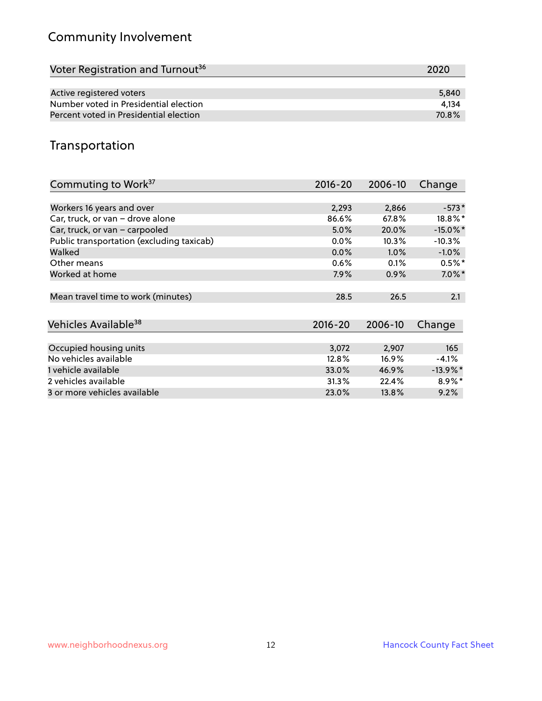# Community Involvement

| Voter Registration and Turnout <sup>36</sup> | 2020  |
|----------------------------------------------|-------|
|                                              |       |
| Active registered voters                     | 5,840 |
| Number voted in Presidential election        | 4.134 |
| Percent voted in Presidential election       | 70.8% |

#### Transportation

| Commuting to Work <sup>37</sup>           | 2016-20     | 2006-10 | Change      |
|-------------------------------------------|-------------|---------|-------------|
|                                           |             |         |             |
| Workers 16 years and over                 | 2,293       | 2,866   | $-573*$     |
| Car, truck, or van - drove alone          | 86.6%       | 67.8%   | 18.8%*      |
| Car, truck, or van - carpooled            | 5.0%        | 20.0%   | $-15.0\%$ * |
| Public transportation (excluding taxicab) | $0.0\%$     | 10.3%   | $-10.3%$    |
| Walked                                    | 0.0%        | 1.0%    | $-1.0%$     |
| Other means                               | 0.6%        | 0.1%    | $0.5%$ *    |
| Worked at home                            | 7.9%        | 0.9%    | $7.0\%$ *   |
|                                           |             |         |             |
| Mean travel time to work (minutes)        | 28.5        | 26.5    | 2.1         |
|                                           |             |         |             |
| Vehicles Available <sup>38</sup>          | $2016 - 20$ | 2006-10 | Change      |
|                                           |             |         |             |
| Occupied housing units                    | 3,072       | 2,907   | 165         |
| No vehicles available                     | 12.8%       | 16.9%   | $-4.1%$     |
| 1 vehicle available                       | 33.0%       | 46.9%   | $-13.9\%$ * |
| 2 vehicles available                      | 31.3%       | 22.4%   | $8.9\%*$    |
| 3 or more vehicles available              | 23.0%       | 13.8%   | 9.2%        |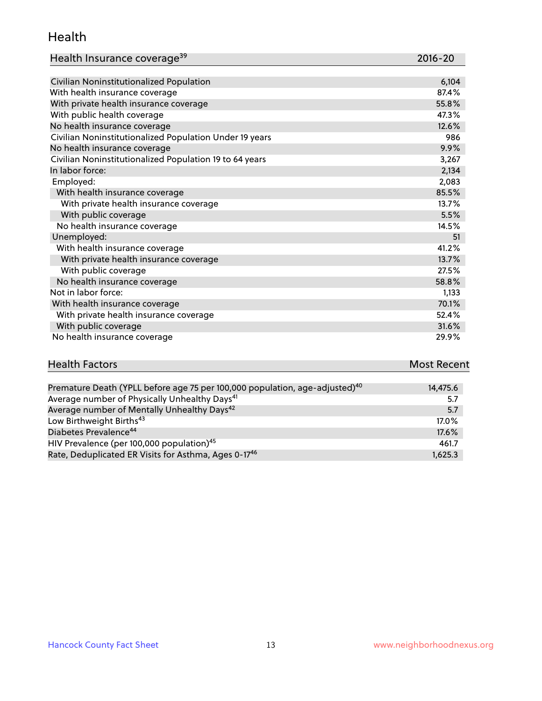#### Health

| Health Insurance coverage <sup>39</sup> | 2016-20 |
|-----------------------------------------|---------|
|-----------------------------------------|---------|

| Civilian Noninstitutionalized Population                | 6,104 |
|---------------------------------------------------------|-------|
| With health insurance coverage                          | 87.4% |
| With private health insurance coverage                  | 55.8% |
| With public health coverage                             | 47.3% |
| No health insurance coverage                            | 12.6% |
| Civilian Noninstitutionalized Population Under 19 years | 986   |
| No health insurance coverage                            | 9.9%  |
| Civilian Noninstitutionalized Population 19 to 64 years | 3,267 |
| In labor force:                                         | 2,134 |
| Employed:                                               | 2,083 |
| With health insurance coverage                          | 85.5% |
| With private health insurance coverage                  | 13.7% |
| With public coverage                                    | 5.5%  |
| No health insurance coverage                            | 14.5% |
| Unemployed:                                             | 51    |
| With health insurance coverage                          | 41.2% |
| With private health insurance coverage                  | 13.7% |
| With public coverage                                    | 27.5% |
| No health insurance coverage                            | 58.8% |
| Not in labor force:                                     | 1,133 |
| With health insurance coverage                          | 70.1% |
| With private health insurance coverage                  | 52.4% |
| With public coverage                                    | 31.6% |
| No health insurance coverage                            | 29.9% |

| <b>Health Factors</b>                                                                   | <b>Most Recent</b> |
|-----------------------------------------------------------------------------------------|--------------------|
|                                                                                         |                    |
| Premature Death (YPLL before age 75 per 100,000 population, age-adjusted) <sup>40</sup> | 14,475.6           |
| Average number of Physically Unhealthy Days <sup>41</sup>                               | 5.7                |
| Average number of Mentally Unhealthy Days <sup>42</sup>                                 | 5.7                |

| Low Birthweight Births <sup>43</sup>                             | $17.0\%$ |
|------------------------------------------------------------------|----------|
| Diabetes Prevalence <sup>44</sup>                                | $17.6\%$ |
| HIV Prevalence (per 100,000 population) <sup>45</sup>            | 461.7    |
| Rate, Deduplicated ER Visits for Asthma, Ages 0-17 <sup>46</sup> | 1.625.3  |